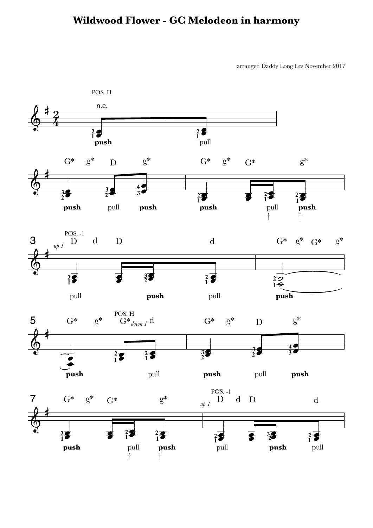## **Wildwood Flower - GC Melodeon in harmony**

arranged Daddy Long Les November 2017

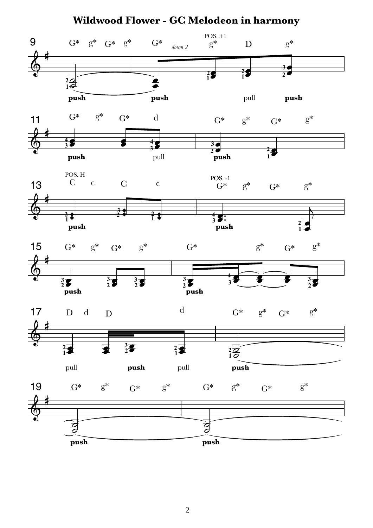

**Wildwood Flower - GC Melodeon in harmony**